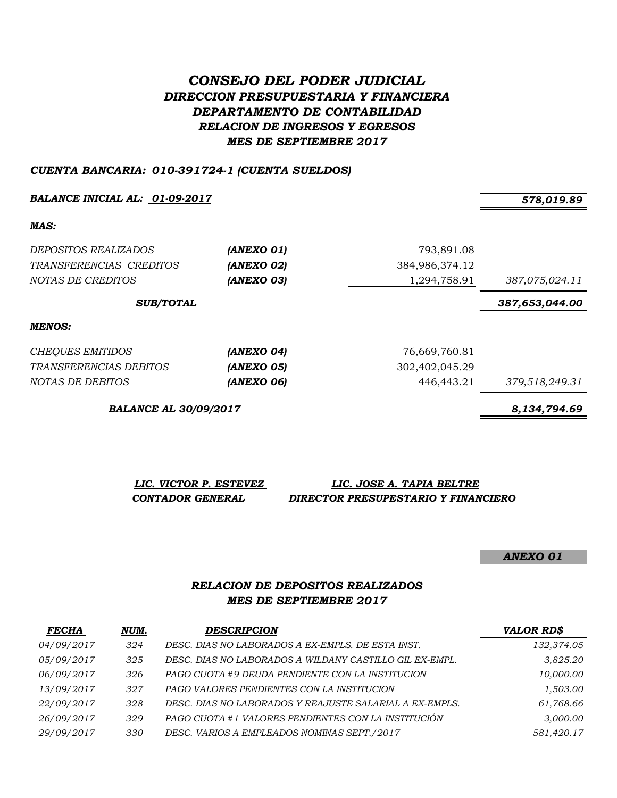# *CONSEJO DEL PODER JUDICIAL DIRECCION PRESUPUESTARIA Y FINANCIERA DEPARTAMENTO DE CONTABILIDAD RELACION DE INGRESOS Y EGRESOS MES DE SEPTIEMBRE 2017*

## *CUENTA BANCARIA: 010-391724-1 (CUENTA SUELDOS)*

*BALANCE INICIAL AL: 01-09-2017 578,019.89*

*MAS:*

| DEPOSITOS REALIZADOS<br>TRANSFERENCIAS CREDITOS<br>NOTAS DE CREDITOS | (ANEXO 01)<br>(ANEXO 02)<br>(ANEXO 03) | 793,891.08<br>384,986,374.12<br>1,294,758.91 | 387,075,024.11 |
|----------------------------------------------------------------------|----------------------------------------|----------------------------------------------|----------------|
| <b>SUB/TOTAL</b>                                                     |                                        |                                              | 387,653,044.00 |
| MENOS:                                                               |                                        |                                              |                |
| <b>CHEQUES EMITIDOS</b>                                              | (ANEXO 04)                             | 76,669,760.81                                |                |
| <i>TRANSFERENCIAS DEBITOS</i>                                        | (ANEXO 05)                             | 302,402,045.29                               |                |
| NOTAS DE DEBITOS                                                     | (ANEXO 06)                             | 446,443.21                                   | 379,518,249.31 |

*BALANCE AL 30/09/2017 8,134,794.69*

*LIC. VICTOR P. ESTEVEZ LIC. JOSE A. TAPIA BELTRE CONTADOR GENERAL DIRECTOR PRESUPESTARIO Y FINANCIERO*

*ANEXO 01*

## *RELACION DE DEPOSITOS REALIZADOS MES DE SEPTIEMBRE 2017*

| <b>FECHA</b> | NUM. | <b>DESCRIPCION</b>                                      | <b>VALOR RD\$</b> |
|--------------|------|---------------------------------------------------------|-------------------|
| 04/09/2017   | 324  | DESC. DIAS NO LABORADOS A EX-EMPLS. DE ESTA INST.       | 132,374.05        |
| 05/09/2017   | 325  | DESC. DIAS NO LABORADOS A WILDANY CASTILLO GIL EX-EMPL. | 3,825.20          |
| 06/09/2017   | 326  | PAGO CUOTA #9 DEUDA PENDIENTE CON LA INSTITUCION        | 10,000.00         |
| 13/09/2017   | 327  | PAGO VALORES PENDIENTES CON LA INSTITUCION              | 1,503.00          |
| 22/09/2017   | 328  | DESC. DIAS NO LABORADOS Y REAJUSTE SALARIAL A EX-EMPLS. | 61,768.66         |
| 26/09/2017   | 329  | PAGO CUOTA #1 VALORES PENDIENTES CON LA INSTITUCIÓN     | 3,000.00          |
| 29/09/2017   | 330  | DESC. VARIOS A EMPLEADOS NOMINAS SEPT./2017             | 581,420.17        |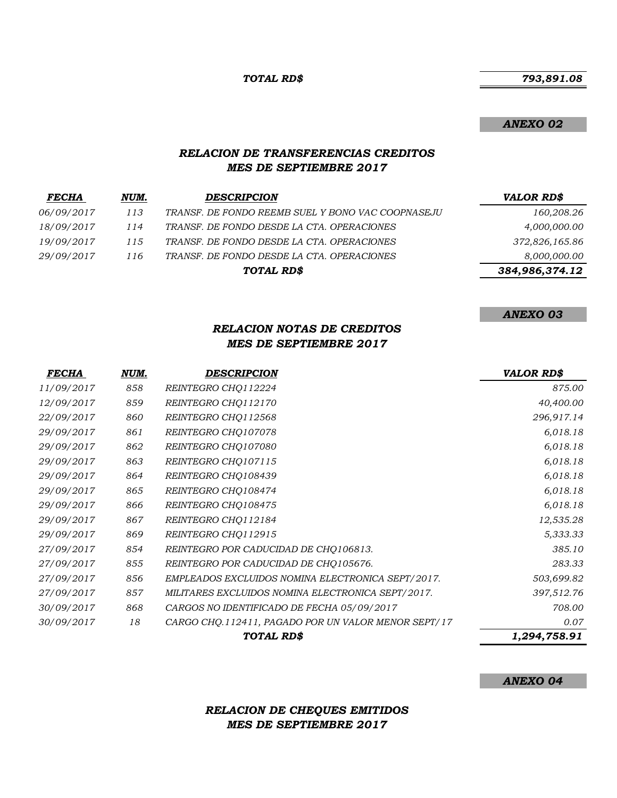#### *TOTAL RD\$*

## *793,891.08*

#### *ANEXO 02*

## *RELACION DE TRANSFERENCIAS CREDITOS MES DE SEPTIEMBRE 2017*

| <b>FECHA</b> | NUM. | <b>DESCRIPCION</b>                                | <b>VALOR RD\$</b> |
|--------------|------|---------------------------------------------------|-------------------|
| 06/09/2017   | 113  | TRANSF. DE FONDO REEMB SUEL Y BONO VAC COOPNASEJU | 160,208.26        |
| 18/09/2017   | 114  | TRANSF. DE FONDO DESDE LA CTA. OPERACIONES        | 4,000,000.00      |
| 19/09/2017   | 115  | TRANSF. DE FONDO DESDE LA CTA. OPERACIONES        | 372,826,165.86    |
| 29/09/2017   | 116  | TRANSF. DE FONDO DESDE LA CTA. OPERACIONES        | 8,000,000.00      |
|              |      | TOTAL RD\$                                        | 384,986,374.12    |

## *ANEXO 03*

## *RELACION NOTAS DE CREDITOS MES DE SEPTIEMBRE 2017*

| <b>FECHA</b> | NUM. | <b>DESCRIPCION</b>                                  | <b>VALOR RD\$</b> |
|--------------|------|-----------------------------------------------------|-------------------|
| 11/09/2017   | 858  | REINTEGRO CHQ112224                                 | 875.00            |
| 12/09/2017   | 859  | REINTEGRO CHQ112170                                 | 40,400.00         |
| 22/09/2017   | 860  | REINTEGRO CHQ112568                                 | 296,917.14        |
| 29/09/2017   | 861  | REINTEGRO CHQ107078                                 | 6,018.18          |
| 29/09/2017   | 862  | REINTEGRO CHQ107080                                 | 6,018.18          |
| 29/09/2017   | 863  | REINTEGRO CHQ107115                                 | 6,018.18          |
| 29/09/2017   | 864  | REINTEGRO CHQ108439                                 | 6,018.18          |
| 29/09/2017   | 865  | REINTEGRO CHQ108474                                 | 6,018.18          |
| 29/09/2017   | 866  | REINTEGRO CHQ108475                                 | 6,018.18          |
| 29/09/2017   | 867  | REINTEGRO CHQ112184                                 | 12,535.28         |
| 29/09/2017   | 869  | REINTEGRO CHQ112915                                 | 5,333.33          |
| 27/09/2017   | 854  | REINTEGRO POR CADUCIDAD DE CHQ106813.               | 385.10            |
| 27/09/2017   | 855  | REINTEGRO POR CADUCIDAD DE CHQ105676.               | 283.33            |
| 27/09/2017   | 856  | EMPLEADOS EXCLUIDOS NOMINA ELECTRONICA SEPT/2017.   | 503,699.82        |
| 27/09/2017   | 857  | MILITARES EXCLUIDOS NOMINA ELECTRONICA SEPT/2017.   | 397,512.76        |
| 30/09/2017   | 868  | CARGOS NO IDENTIFICADO DE FECHA 05/09/2017          | 708.00            |
| 30/09/2017   | 18   | CARGO CHQ.112411, PAGADO POR UN VALOR MENOR SEPT/17 | 0.07              |
|              |      | TOTAL RD\$                                          | 1,294,758.91      |

#### *ANEXO 04*

## *RELACION DE CHEQUES EMITIDOS MES DE SEPTIEMBRE 2017*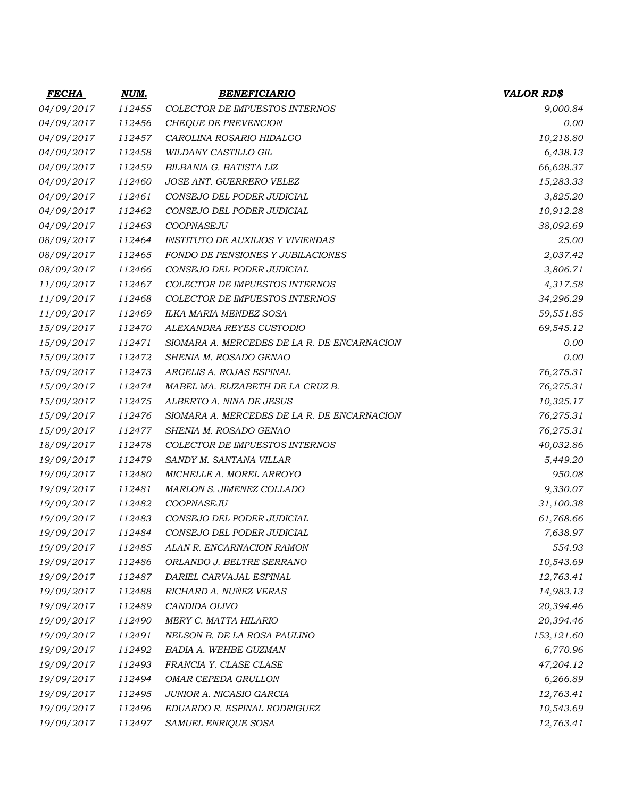| <b>FECHA</b> | <u>NUM.</u> | <b>BENEFICIARIO</b>                         | <b>VALOR RD\$</b> |
|--------------|-------------|---------------------------------------------|-------------------|
| 04/09/2017   | 112455      | <b>COLECTOR DE IMPUESTOS INTERNOS</b>       | 9,000.84          |
| 04/09/2017   | 112456      | CHEQUE DE PREVENCION                        | 0.00              |
| 04/09/2017   | 112457      | CAROLINA ROSARIO HIDALGO                    | 10,218.80         |
| 04/09/2017   | 112458      | WILDANY CASTILLO GIL                        | 6,438.13          |
| 04/09/2017   | 112459      | BILBANIA G. BATISTA LIZ                     | 66,628.37         |
| 04/09/2017   | 112460      | JOSE ANT. GUERRERO VELEZ                    | 15,283.33         |
| 04/09/2017   | 112461      | CONSEJO DEL PODER JUDICIAL                  | 3,825.20          |
| 04/09/2017   | 112462      | CONSEJO DEL PODER JUDICIAL                  | 10,912.28         |
| 04/09/2017   | 112463      | COOPNASEJU                                  | 38,092.69         |
| 08/09/2017   | 112464      | <b>INSTITUTO DE AUXILIOS Y VIVIENDAS</b>    | 25.00             |
| 08/09/2017   | 112465      | FONDO DE PENSIONES Y JUBILACIONES           | 2,037.42          |
| 08/09/2017   | 112466      | CONSEJO DEL PODER JUDICIAL                  | 3,806.71          |
| 11/09/2017   | 112467      | COLECTOR DE IMPUESTOS INTERNOS              | 4,317.58          |
| 11/09/2017   | 112468      | <b>COLECTOR DE IMPUESTOS INTERNOS</b>       | 34,296.29         |
| 11/09/2017   | 112469      | ILKA MARIA MENDEZ SOSA                      | 59,551.85         |
| 15/09/2017   | 112470      | ALEXANDRA REYES CUSTODIO                    | 69,545.12         |
| 15/09/2017   | 112471      | SIOMARA A. MERCEDES DE LA R. DE ENCARNACION | 0.00              |
| 15/09/2017   | 112472      | SHENIA M. ROSADO GENAO                      | 0.00              |
| 15/09/2017   | 112473      | ARGELIS A. ROJAS ESPINAL                    | 76,275.31         |
| 15/09/2017   | 112474      | MABEL MA. ELIZABETH DE LA CRUZ B.           | 76,275.31         |
| 15/09/2017   | 112475      | ALBERTO A. NINA DE JESUS                    | 10,325.17         |
| 15/09/2017   | 112476      | SIOMARA A. MERCEDES DE LA R. DE ENCARNACION | 76,275.31         |
| 15/09/2017   | 112477      | SHENIA M. ROSADO GENAO                      | 76,275.31         |
| 18/09/2017   | 112478      | <b>COLECTOR DE IMPUESTOS INTERNOS</b>       | 40,032.86         |
| 19/09/2017   | 112479      | SANDY M. SANTANA VILLAR                     | 5,449.20          |
| 19/09/2017   | 112480      | MICHELLE A. MOREL ARROYO                    | 950.08            |
| 19/09/2017   | 112481      | MARLON S. JIMENEZ COLLADO                   | 9,330.07          |
| 19/09/2017   | 112482      | COOPNASEJU                                  | 31,100.38         |
| 19/09/2017   | 112483      | CONSEJO DEL PODER JUDICIAL                  | 61,768.66         |
| 19/09/2017   | 112484      | CONSEJO DEL PODER JUDICIAL                  | 7,638.97          |
| 19/09/2017   | 112485      | ALAN R. ENCARNACION RAMON                   | 554.93            |
| 19/09/2017   | 112486      | ORLANDO J. BELTRE SERRANO                   | 10,543.69         |
| 19/09/2017   | 112487      | DARIEL CARVAJAL ESPINAL                     | 12,763.41         |
| 19/09/2017   | 112488      | RICHARD A. NUÑEZ VERAS                      | 14,983.13         |
| 19/09/2017   | 112489      | CANDIDA OLIVO                               | 20,394.46         |
| 19/09/2017   | 112490      | MERY C. MATTA HILARIO                       | 20,394.46         |
| 19/09/2017   | 112491      | NELSON B. DE LA ROSA PAULINO                | 153,121.60        |
| 19/09/2017   | 112492      | BADIA A. WEHBE GUZMAN                       | 6,770.96          |
| 19/09/2017   | 112493      | FRANCIA Y. CLASE CLASE                      | 47,204.12         |
| 19/09/2017   | 112494      | OMAR CEPEDA GRULLON                         | 6,266.89          |
| 19/09/2017   | 112495      | JUNIOR A. NICASIO GARCIA                    | 12,763.41         |
| 19/09/2017   | 112496      | EDUARDO R. ESPINAL RODRIGUEZ                | 10,543.69         |
| 19/09/2017   | 112497      | SAMUEL ENRIQUE SOSA                         | 12,763.41         |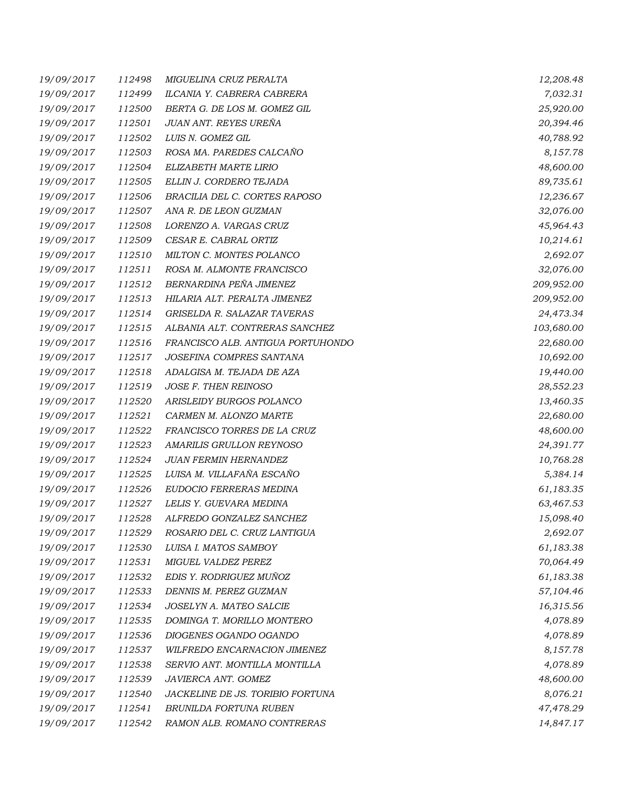| 19/09/2017 | 112498 | MIGUELINA CRUZ PERALTA            | 12,208.48  |
|------------|--------|-----------------------------------|------------|
| 19/09/2017 | 112499 | ILCANIA Y. CABRERA CABRERA        | 7,032.31   |
| 19/09/2017 | 112500 | BERTA G. DE LOS M. GOMEZ GIL      | 25,920.00  |
| 19/09/2017 | 112501 | JUAN ANT. REYES UREÑA             | 20,394.46  |
| 19/09/2017 | 112502 | LUIS N. GOMEZ GIL                 | 40,788.92  |
| 19/09/2017 | 112503 | ROSA MA. PAREDES CALCAÑO          | 8,157.78   |
| 19/09/2017 | 112504 | ELIZABETH MARTE LIRIO             | 48,600.00  |
| 19/09/2017 | 112505 | ELLIN J. CORDERO TEJADA           | 89,735.61  |
| 19/09/2017 | 112506 | BRACILIA DEL C. CORTES RAPOSO     | 12,236.67  |
| 19/09/2017 | 112507 | ANA R. DE LEON GUZMAN             | 32,076.00  |
| 19/09/2017 | 112508 | LORENZO A. VARGAS CRUZ            | 45,964.43  |
| 19/09/2017 | 112509 | CESAR E. CABRAL ORTIZ             | 10,214.61  |
| 19/09/2017 | 112510 | MILTON C. MONTES POLANCO          | 2,692.07   |
| 19/09/2017 | 112511 | ROSA M. ALMONTE FRANCISCO         | 32,076.00  |
| 19/09/2017 | 112512 | BERNARDINA PEÑA JIMENEZ           | 209,952.00 |
| 19/09/2017 | 112513 | HILARIA ALT. PERALTA JIMENEZ      | 209,952.00 |
| 19/09/2017 | 112514 | GRISELDA R. SALAZAR TAVERAS       | 24,473.34  |
| 19/09/2017 | 112515 | ALBANIA ALT. CONTRERAS SANCHEZ    | 103,680.00 |
| 19/09/2017 | 112516 | FRANCISCO ALB. ANTIGUA PORTUHONDO | 22,680.00  |
| 19/09/2017 | 112517 | JOSEFINA COMPRES SANTANA          | 10,692.00  |
| 19/09/2017 | 112518 | ADALGISA M. TEJADA DE AZA         | 19,440.00  |
| 19/09/2017 | 112519 | JOSE F. THEN REINOSO              | 28,552.23  |
| 19/09/2017 | 112520 | ARISLEIDY BURGOS POLANCO          | 13,460.35  |
| 19/09/2017 | 112521 | CARMEN M. ALONZO MARTE            | 22,680.00  |
| 19/09/2017 | 112522 | FRANCISCO TORRES DE LA CRUZ       | 48,600.00  |
| 19/09/2017 | 112523 | AMARILIS GRULLON REYNOSO          | 24,391.77  |
| 19/09/2017 | 112524 | <b>JUAN FERMIN HERNANDEZ</b>      | 10,768.28  |
| 19/09/2017 | 112525 | LUISA M. VILLAFAÑA ESCAÑO         | 5,384.14   |
| 19/09/2017 | 112526 | EUDOCIO FERRERAS MEDINA           | 61,183.35  |
| 19/09/2017 | 112527 | LELIS Y. GUEVARA MEDINA           | 63,467.53  |
| 19/09/2017 | 112528 | ALFREDO GONZALEZ SANCHEZ          | 15,098.40  |
| 19/09/2017 | 112529 | ROSARIO DEL C. CRUZ LANTIGUA      | 2,692.07   |
| 19/09/2017 | 112530 | LUISA I. MATOS SAMBOY             | 61,183.38  |
| 19/09/2017 | 112531 | MIGUEL VALDEZ PEREZ               | 70,064.49  |
| 19/09/2017 | 112532 | EDIS Y. RODRIGUEZ MUÑOZ           | 61,183.38  |
| 19/09/2017 | 112533 | DENNIS M. PEREZ GUZMAN            | 57,104.46  |
| 19/09/2017 | 112534 | JOSELYN A. MATEO SALCIE           | 16,315.56  |
| 19/09/2017 | 112535 | DOMINGA T. MORILLO MONTERO        | 4,078.89   |
| 19/09/2017 | 112536 | DIOGENES OGANDO OGANDO            | 4,078.89   |
| 19/09/2017 | 112537 | WILFREDO ENCARNACION JIMENEZ      | 8,157.78   |
| 19/09/2017 | 112538 | SERVIO ANT. MONTILLA MONTILLA     | 4,078.89   |
| 19/09/2017 | 112539 | JAVIERCA ANT. GOMEZ               | 48,600.00  |
| 19/09/2017 | 112540 | JACKELINE DE JS. TORIBIO FORTUNA  | 8,076.21   |
| 19/09/2017 | 112541 | BRUNILDA FORTUNA RUBEN            | 47,478.29  |
| 19/09/2017 | 112542 | RAMON ALB. ROMANO CONTRERAS       | 14,847.17  |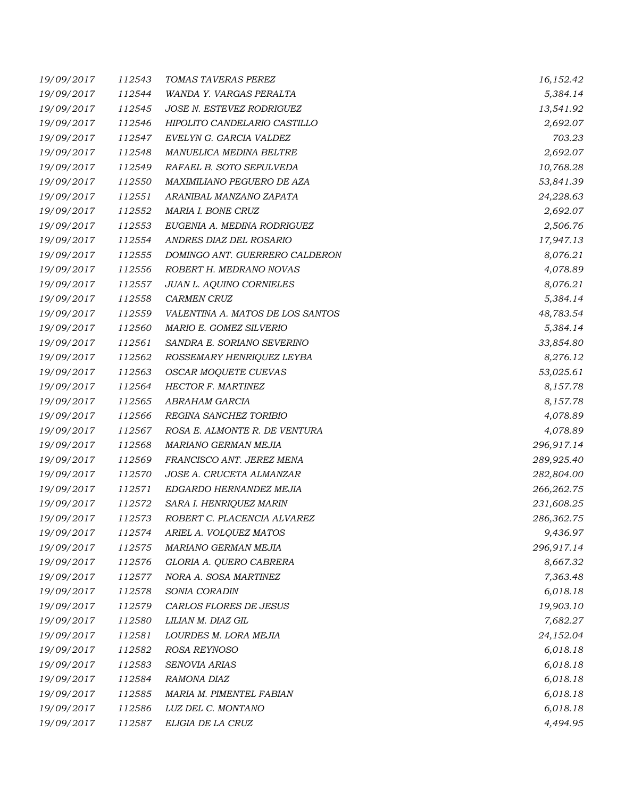| 19/09/2017 | 112543 | TOMAS TAVERAS PEREZ              | 16,152.42  |
|------------|--------|----------------------------------|------------|
| 19/09/2017 | 112544 | WANDA Y. VARGAS PERALTA          | 5,384.14   |
| 19/09/2017 | 112545 | JOSE N. ESTEVEZ RODRIGUEZ        | 13,541.92  |
| 19/09/2017 | 112546 | HIPOLITO CANDELARIO CASTILLO     | 2,692.07   |
| 19/09/2017 | 112547 | EVELYN G. GARCIA VALDEZ          | 703.23     |
| 19/09/2017 | 112548 | MANUELICA MEDINA BELTRE          | 2,692.07   |
| 19/09/2017 | 112549 | RAFAEL B. SOTO SEPULVEDA         | 10,768.28  |
| 19/09/2017 | 112550 | MAXIMILIANO PEGUERO DE AZA       | 53,841.39  |
| 19/09/2017 | 112551 | ARANIBAL MANZANO ZAPATA          | 24,228.63  |
| 19/09/2017 | 112552 | MARIA I. BONE CRUZ               | 2,692.07   |
| 19/09/2017 | 112553 | EUGENIA A. MEDINA RODRIGUEZ      | 2,506.76   |
| 19/09/2017 | 112554 | ANDRES DIAZ DEL ROSARIO          | 17,947.13  |
| 19/09/2017 | 112555 | DOMINGO ANT. GUERRERO CALDERON   | 8,076.21   |
| 19/09/2017 | 112556 | ROBERT H. MEDRANO NOVAS          | 4,078.89   |
| 19/09/2017 | 112557 | <b>JUAN L. AQUINO CORNIELES</b>  | 8,076.21   |
| 19/09/2017 | 112558 | CARMEN CRUZ                      | 5,384.14   |
| 19/09/2017 | 112559 | VALENTINA A. MATOS DE LOS SANTOS | 48,783.54  |
| 19/09/2017 | 112560 | MARIO E. GOMEZ SILVERIO          | 5,384.14   |
| 19/09/2017 | 112561 | SANDRA E. SORIANO SEVERINO       | 33,854.80  |
| 19/09/2017 | 112562 | ROSSEMARY HENRIQUEZ LEYBA        | 8,276.12   |
| 19/09/2017 | 112563 | OSCAR MOQUETE CUEVAS             | 53,025.61  |
| 19/09/2017 | 112564 | <b>HECTOR F. MARTINEZ</b>        | 8,157.78   |
| 19/09/2017 | 112565 | ABRAHAM GARCIA                   | 8,157.78   |
| 19/09/2017 | 112566 | REGINA SANCHEZ TORIBIO           | 4,078.89   |
| 19/09/2017 | 112567 | ROSA E. ALMONTE R. DE VENTURA    | 4,078.89   |
| 19/09/2017 | 112568 | MARIANO GERMAN MEJIA             | 296,917.14 |
| 19/09/2017 | 112569 | FRANCISCO ANT. JEREZ MENA        | 289,925.40 |
| 19/09/2017 | 112570 | JOSE A. CRUCETA ALMANZAR         | 282,804.00 |
| 19/09/2017 | 112571 | EDGARDO HERNANDEZ MEJIA          | 266,262.75 |
| 19/09/2017 | 112572 | SARA I. HENRIQUEZ MARIN          | 231,608.25 |
| 19/09/2017 | 112573 | ROBERT C. PLACENCIA ALVAREZ      | 286,362.75 |
| 19/09/2017 | 112574 | ARIEL A. VOLQUEZ MATOS           | 9,436.97   |
| 19/09/2017 | 112575 | MARIANO GERMAN MEJIA             | 296,917.14 |
| 19/09/2017 | 112576 | GLORIA A. QUERO CABRERA          | 8,667.32   |
| 19/09/2017 | 112577 | NORA A. SOSA MARTINEZ            | 7,363.48   |
| 19/09/2017 | 112578 | SONIA CORADIN                    | 6,018.18   |
| 19/09/2017 | 112579 | CARLOS FLORES DE JESUS           | 19,903.10  |
| 19/09/2017 | 112580 | LILIAN M. DIAZ GIL               | 7,682.27   |
| 19/09/2017 | 112581 | LOURDES M. LORA MEJIA            | 24,152.04  |
| 19/09/2017 | 112582 | ROSA REYNOSO                     | 6,018.18   |
| 19/09/2017 | 112583 | SENOVIA ARIAS                    | 6,018.18   |
| 19/09/2017 | 112584 | RAMONA DIAZ                      | 6,018.18   |
| 19/09/2017 | 112585 | MARIA M. PIMENTEL FABIAN         | 6,018.18   |
| 19/09/2017 | 112586 | LUZ DEL C. MONTANO               | 6,018.18   |
| 19/09/2017 | 112587 | ELIGIA DE LA CRUZ                | 4,494.95   |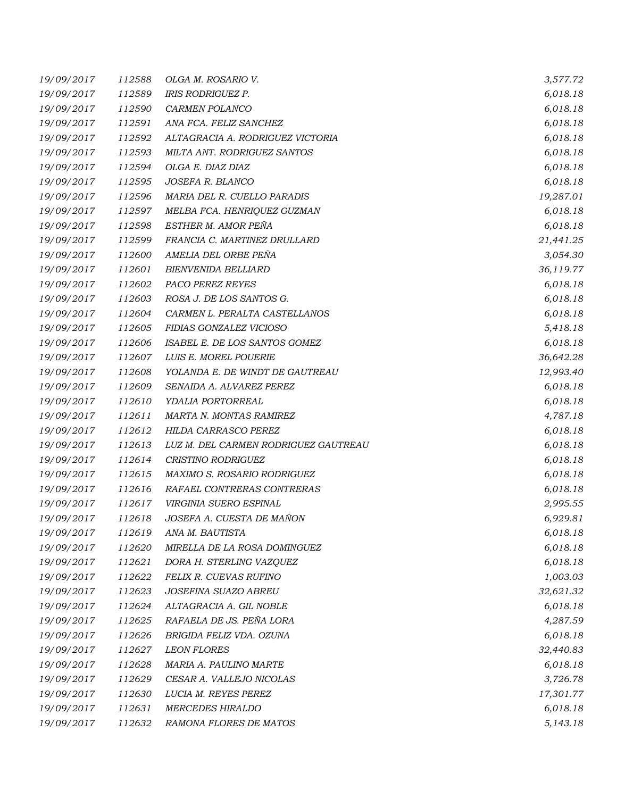| 19/09/2017 | 112588 | OLGA M. ROSARIO V.                   | 3,577.72  |
|------------|--------|--------------------------------------|-----------|
| 19/09/2017 | 112589 | <b>IRIS RODRIGUEZ P.</b>             | 6,018.18  |
| 19/09/2017 | 112590 | CARMEN POLANCO                       | 6,018.18  |
| 19/09/2017 | 112591 | ANA FCA. FELIZ SANCHEZ               | 6,018.18  |
| 19/09/2017 | 112592 | ALTAGRACIA A. RODRIGUEZ VICTORIA     | 6,018.18  |
| 19/09/2017 | 112593 | MILTA ANT. RODRIGUEZ SANTOS          | 6,018.18  |
| 19/09/2017 | 112594 | OLGA E. DIAZ DIAZ                    | 6,018.18  |
| 19/09/2017 | 112595 | JOSEFA R. BLANCO                     | 6,018.18  |
| 19/09/2017 | 112596 | MARIA DEL R. CUELLO PARADIS          | 19,287.01 |
| 19/09/2017 | 112597 | MELBA FCA. HENRIQUEZ GUZMAN          | 6,018.18  |
| 19/09/2017 | 112598 | ESTHER M. AMOR PEÑA                  | 6,018.18  |
| 19/09/2017 | 112599 | FRANCIA C. MARTINEZ DRULLARD         | 21,441.25 |
| 19/09/2017 | 112600 | AMELIA DEL ORBE PEÑA                 | 3,054.30  |
| 19/09/2017 | 112601 | <b>BIENVENIDA BELLIARD</b>           | 36,119.77 |
| 19/09/2017 | 112602 | PACO PEREZ REYES                     | 6,018.18  |
| 19/09/2017 | 112603 | ROSA J. DE LOS SANTOS G.             | 6,018.18  |
| 19/09/2017 | 112604 | CARMEN L. PERALTA CASTELLANOS        | 6,018.18  |
| 19/09/2017 | 112605 | FIDIAS GONZALEZ VICIOSO              | 5,418.18  |
| 19/09/2017 | 112606 | ISABEL E. DE LOS SANTOS GOMEZ        | 6,018.18  |
| 19/09/2017 | 112607 | LUIS E. MOREL POUERIE                | 36,642.28 |
| 19/09/2017 | 112608 | YOLANDA E. DE WINDT DE GAUTREAU      | 12,993.40 |
| 19/09/2017 | 112609 | SENAIDA A. ALVAREZ PEREZ             | 6,018.18  |
| 19/09/2017 | 112610 | YDALIA PORTORREAL                    | 6,018.18  |
| 19/09/2017 | 112611 | MARTA N. MONTAS RAMIREZ              | 4,787.18  |
| 19/09/2017 | 112612 | HILDA CARRASCO PEREZ                 | 6,018.18  |
| 19/09/2017 | 112613 | LUZ M. DEL CARMEN RODRIGUEZ GAUTREAU | 6,018.18  |
| 19/09/2017 | 112614 | CRISTINO RODRIGUEZ                   | 6,018.18  |
| 19/09/2017 | 112615 | MAXIMO S. ROSARIO RODRIGUEZ          | 6,018.18  |
| 19/09/2017 | 112616 | RAFAEL CONTRERAS CONTRERAS           | 6,018.18  |
| 19/09/2017 | 112617 | VIRGINIA SUERO ESPINAL               | 2,995.55  |
| 19/09/2017 | 112618 | JOSEFA A. CUESTA DE MAÑON            | 6,929.81  |
| 19/09/2017 | 112619 | ANA M. BAUTISTA                      | 6,018.18  |
| 19/09/2017 | 112620 | MIRELLA DE LA ROSA DOMINGUEZ         | 6,018.18  |
| 19/09/2017 | 112621 | DORA H. STERLING VAZQUEZ             | 6,018.18  |
| 19/09/2017 | 112622 | FELIX R. CUEVAS RUFINO               | 1,003.03  |
| 19/09/2017 | 112623 | JOSEFINA SUAZO ABREU                 | 32,621.32 |
| 19/09/2017 | 112624 | ALTAGRACIA A. GIL NOBLE              | 6,018.18  |
| 19/09/2017 | 112625 | RAFAELA DE JS. PEÑA LORA             | 4,287.59  |
| 19/09/2017 | 112626 | BRIGIDA FELIZ VDA. OZUNA             | 6,018.18  |
| 19/09/2017 | 112627 | <b>LEON FLORES</b>                   | 32,440.83 |
| 19/09/2017 | 112628 | MARIA A. PAULINO MARTE               | 6,018.18  |
| 19/09/2017 | 112629 | CESAR A. VALLEJO NICOLAS             | 3,726.78  |
| 19/09/2017 | 112630 | LUCIA M. REYES PEREZ                 | 17,301.77 |
| 19/09/2017 | 112631 | <b>MERCEDES HIRALDO</b>              | 6,018.18  |
| 19/09/2017 | 112632 | RAMONA FLORES DE MATOS               | 5,143.18  |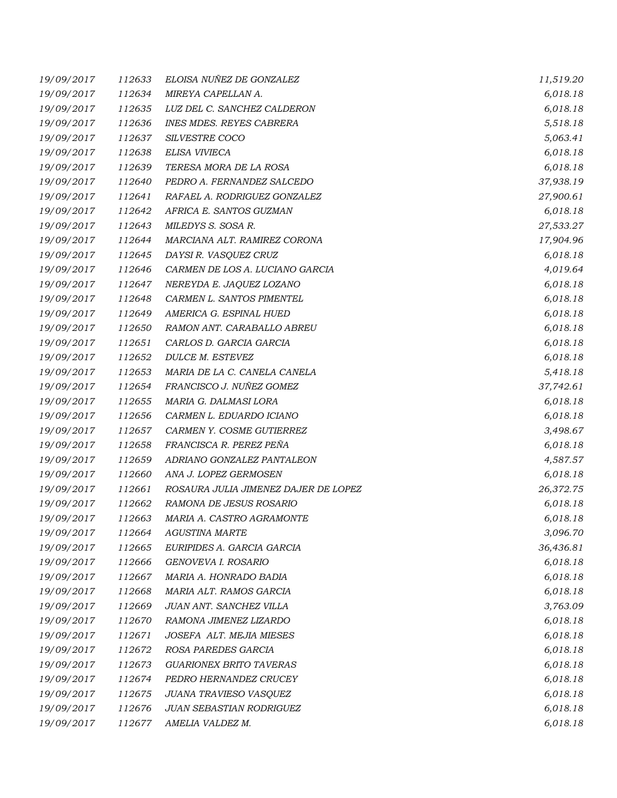| 19/09/2017 | 112633 | ELOISA NUÑEZ DE GONZALEZ             | 11,519.20 |
|------------|--------|--------------------------------------|-----------|
| 19/09/2017 | 112634 | MIREYA CAPELLAN A.                   | 6,018.18  |
| 19/09/2017 | 112635 | LUZ DEL C. SANCHEZ CALDERON          | 6,018.18  |
| 19/09/2017 | 112636 | <b>INES MDES. REYES CABRERA</b>      | 5,518.18  |
| 19/09/2017 | 112637 | SILVESTRE COCO                       | 5,063.41  |
| 19/09/2017 | 112638 | ELISA VIVIECA                        | 6,018.18  |
| 19/09/2017 | 112639 | TERESA MORA DE LA ROSA               | 6,018.18  |
| 19/09/2017 | 112640 | PEDRO A. FERNANDEZ SALCEDO           | 37,938.19 |
| 19/09/2017 | 112641 | RAFAEL A. RODRIGUEZ GONZALEZ         | 27,900.61 |
| 19/09/2017 | 112642 | AFRICA E. SANTOS GUZMAN              | 6,018.18  |
| 19/09/2017 | 112643 | MILEDYS S. SOSA R.                   | 27,533.27 |
| 19/09/2017 | 112644 | MARCIANA ALT. RAMIREZ CORONA         | 17,904.96 |
| 19/09/2017 | 112645 | DAYSI R. VASQUEZ CRUZ                | 6,018.18  |
| 19/09/2017 | 112646 | CARMEN DE LOS A. LUCIANO GARCIA      | 4,019.64  |
| 19/09/2017 | 112647 | NEREYDA E. JAQUEZ LOZANO             | 6,018.18  |
| 19/09/2017 | 112648 | CARMEN L. SANTOS PIMENTEL            | 6,018.18  |
| 19/09/2017 | 112649 | AMERICA G. ESPINAL HUED              | 6,018.18  |
| 19/09/2017 | 112650 | RAMON ANT. CARABALLO ABREU           | 6,018.18  |
| 19/09/2017 | 112651 | CARLOS D. GARCIA GARCIA              | 6,018.18  |
| 19/09/2017 | 112652 | <b>DULCE M. ESTEVEZ</b>              | 6,018.18  |
| 19/09/2017 | 112653 | MARIA DE LA C. CANELA CANELA         | 5,418.18  |
| 19/09/2017 | 112654 | FRANCISCO J. NUÑEZ GOMEZ             | 37,742.61 |
| 19/09/2017 | 112655 | MARIA G. DALMASI LORA                | 6,018.18  |
| 19/09/2017 | 112656 | CARMEN L. EDUARDO ICIANO             | 6,018.18  |
| 19/09/2017 | 112657 | CARMEN Y. COSME GUTIERREZ            | 3,498.67  |
| 19/09/2017 | 112658 | FRANCISCA R. PEREZ PEÑA              | 6,018.18  |
| 19/09/2017 | 112659 | ADRIANO GONZALEZ PANTALEON           | 4,587.57  |
| 19/09/2017 | 112660 | ANA J. LOPEZ GERMOSEN                | 6,018.18  |
| 19/09/2017 | 112661 | ROSAURA JULIA JIMENEZ DAJER DE LOPEZ | 26,372.75 |
| 19/09/2017 | 112662 | RAMONA DE JESUS ROSARIO              | 6,018.18  |
| 19/09/2017 | 112663 | MARIA A. CASTRO AGRAMONTE            | 6,018.18  |
| 19/09/2017 | 112664 | <b>AGUSTINA MARTE</b>                | 3,096.70  |
| 19/09/2017 | 112665 | EURIPIDES A. GARCIA GARCIA           | 36,436.81 |
| 19/09/2017 | 112666 | GENOVEVA I. ROSARIO                  | 6,018.18  |
| 19/09/2017 | 112667 | MARIA A. HONRADO BADIA               | 6,018.18  |
| 19/09/2017 | 112668 | MARIA ALT. RAMOS GARCIA              | 6,018.18  |
| 19/09/2017 | 112669 | JUAN ANT. SANCHEZ VILLA              | 3,763.09  |
| 19/09/2017 | 112670 | RAMONA JIMENEZ LIZARDO               | 6,018.18  |
| 19/09/2017 | 112671 | JOSEFA ALT. MEJIA MIESES             | 6,018.18  |
| 19/09/2017 | 112672 | ROSA PAREDES GARCIA                  | 6,018.18  |
| 19/09/2017 | 112673 | <b>GUARIONEX BRITO TAVERAS</b>       | 6,018.18  |
| 19/09/2017 | 112674 | PEDRO HERNANDEZ CRUCEY               | 6,018.18  |
| 19/09/2017 | 112675 | JUANA TRAVIESO VASQUEZ               | 6,018.18  |
| 19/09/2017 | 112676 | JUAN SEBASTIAN RODRIGUEZ             | 6,018.18  |
| 19/09/2017 | 112677 | AMELIA VALDEZ M.                     | 6,018.18  |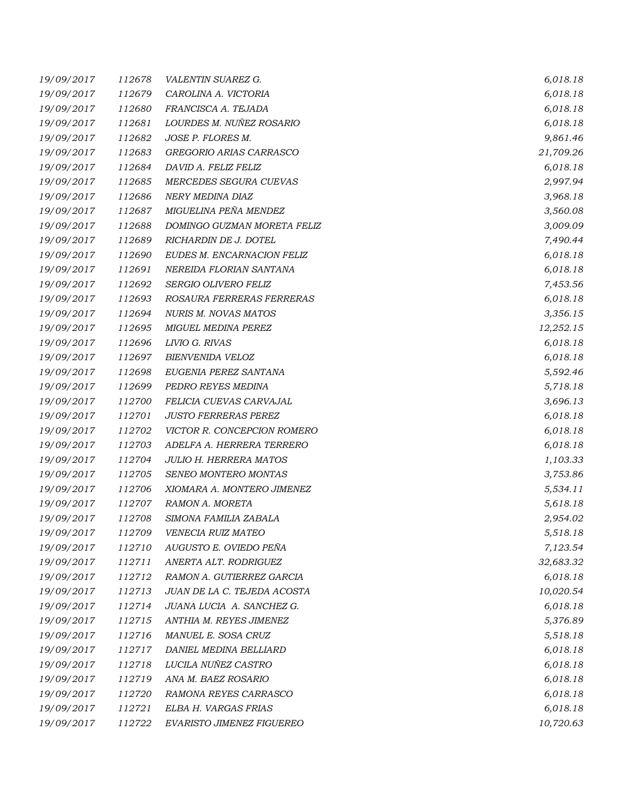| 19/09/2017 | 112678 | VALENTIN SUAREZ G.            | 6,018.18  |
|------------|--------|-------------------------------|-----------|
| 19/09/2017 | 112679 | CAROLINA A. VICTORIA          | 6,018.18  |
| 19/09/2017 | 112680 | FRANCISCA A. TEJADA           | 6,018.18  |
| 19/09/2017 | 112681 | LOURDES M. NUÑEZ ROSARIO      | 6,018.18  |
| 19/09/2017 | 112682 | JOSE P. FLORES M.             | 9,861.46  |
| 19/09/2017 | 112683 | GREGORIO ARIAS CARRASCO       | 21,709.26 |
| 19/09/2017 | 112684 | DAVID A. FELIZ FELIZ          | 6,018.18  |
| 19/09/2017 | 112685 | MERCEDES SEGURA CUEVAS        | 2,997.94  |
| 19/09/2017 | 112686 | NERY MEDINA DIAZ              | 3,968.18  |
| 19/09/2017 | 112687 | MIGUELINA PEÑA MENDEZ         | 3,560.08  |
| 19/09/2017 | 112688 | DOMINGO GUZMAN MORETA FELIZ   | 3,009.09  |
| 19/09/2017 | 112689 | RICHARDIN DE J. DOTEL         | 7,490.44  |
| 19/09/2017 | 112690 | EUDES M. ENCARNACION FELIZ    | 6,018.18  |
| 19/09/2017 | 112691 | NEREIDA FLORIAN SANTANA       | 6,018.18  |
| 19/09/2017 | 112692 | <b>SERGIO OLIVERO FELIZ</b>   | 7,453.56  |
| 19/09/2017 | 112693 | ROSAURA FERRERAS FERRERAS     | 6,018.18  |
| 19/09/2017 | 112694 | <b>NURIS M. NOVAS MATOS</b>   | 3,356.15  |
| 19/09/2017 | 112695 | MIGUEL MEDINA PEREZ           | 12,252.15 |
| 19/09/2017 | 112696 | LIVIO G. RIVAS                | 6,018.18  |
| 19/09/2017 | 112697 | BIENVENIDA VELOZ              | 6,018.18  |
| 19/09/2017 | 112698 | EUGENIA PEREZ SANTANA         | 5,592.46  |
| 19/09/2017 | 112699 | PEDRO REYES MEDINA            | 5,718.18  |
| 19/09/2017 | 112700 | FELICIA CUEVAS CARVAJAL       | 3,696.13  |
| 19/09/2017 | 112701 | <b>JUSTO FERRERAS PEREZ</b>   | 6,018.18  |
| 19/09/2017 | 112702 | VICTOR R. CONCEPCION ROMERO   | 6,018.18  |
| 19/09/2017 | 112703 | ADELFA A. HERRERA TERRERO     | 6,018.18  |
| 19/09/2017 | 112704 | <b>JULIO H. HERRERA MATOS</b> | 1,103.33  |
| 19/09/2017 | 112705 | SENEO MONTERO MONTAS          | 3,753.86  |
| 19/09/2017 | 112706 | XIOMARA A. MONTERO JIMENEZ    | 5,534.11  |
| 19/09/2017 | 112707 | RAMON A. MORETA               | 5,618.18  |
| 19/09/2017 | 112708 | SIMONA FAMILIA ZABALA         | 2,954.02  |
| 19/09/2017 | 112709 | VENECIA RUIZ MATEO            | 5,518.18  |
| 19/09/2017 | 112710 | AUGUSTO E. OVIEDO PEÑA        | 7,123.54  |
| 19/09/2017 | 112711 | ANERTA ALT. RODRIGUEZ         | 32,683.32 |
| 19/09/2017 | 112712 | RAMON A. GUTIERREZ GARCIA     | 6,018.18  |
| 19/09/2017 | 112713 | JUAN DE LA C. TEJEDA ACOSTA   | 10,020.54 |
| 19/09/2017 | 112714 | JUANA LUCIA A. SANCHEZ G.     | 6,018.18  |
| 19/09/2017 | 112715 | ANTHIA M. REYES JIMENEZ       | 5,376.89  |
| 19/09/2017 | 112716 | MANUEL E. SOSA CRUZ           | 5,518.18  |
| 19/09/2017 | 112717 | DANIEL MEDINA BELLIARD        | 6,018.18  |
| 19/09/2017 | 112718 | LUCILA NUÑEZ CASTRO           | 6,018.18  |
| 19/09/2017 | 112719 | ANA M. BAEZ ROSARIO           | 6,018.18  |
| 19/09/2017 | 112720 | RAMONA REYES CARRASCO         | 6,018.18  |
| 19/09/2017 | 112721 | ELBA H. VARGAS FRIAS          | 6,018.18  |
| 19/09/2017 | 112722 | EVARISTO JIMENEZ FIGUEREO     | 10,720.63 |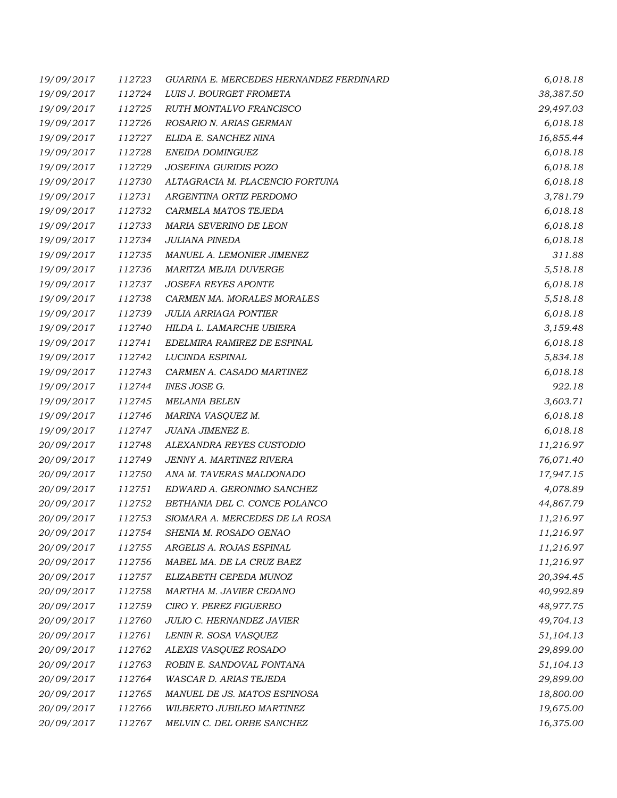| 19/09/2017 | 112723 | GUARINA E. MERCEDES HERNANDEZ FERDINARD | 6,018.18  |
|------------|--------|-----------------------------------------|-----------|
| 19/09/2017 | 112724 | LUIS J. BOURGET FROMETA                 | 38,387.50 |
| 19/09/2017 | 112725 | RUTH MONTALVO FRANCISCO                 | 29,497.03 |
| 19/09/2017 | 112726 | ROSARIO N. ARIAS GERMAN                 | 6,018.18  |
| 19/09/2017 | 112727 | ELIDA E. SANCHEZ NINA                   | 16,855.44 |
| 19/09/2017 | 112728 | ENEIDA DOMINGUEZ                        | 6,018.18  |
| 19/09/2017 | 112729 | JOSEFINA GURIDIS POZO                   | 6,018.18  |
| 19/09/2017 | 112730 | ALTAGRACIA M. PLACENCIO FORTUNA         | 6,018.18  |
| 19/09/2017 | 112731 | ARGENTINA ORTIZ PERDOMO                 | 3,781.79  |
| 19/09/2017 | 112732 | CARMELA MATOS TEJEDA                    | 6,018.18  |
| 19/09/2017 | 112733 | MARIA SEVERINO DE LEON                  | 6,018.18  |
| 19/09/2017 | 112734 | JULIANA PINEDA                          | 6,018.18  |
| 19/09/2017 | 112735 | MANUEL A. LEMONIER JIMENEZ              | 311.88    |
| 19/09/2017 | 112736 | MARITZA MEJIA DUVERGE                   | 5,518.18  |
| 19/09/2017 | 112737 | <b>JOSEFA REYES APONTE</b>              | 6,018.18  |
| 19/09/2017 | 112738 | CARMEN MA. MORALES MORALES              | 5,518.18  |
| 19/09/2017 | 112739 | <b>JULIA ARRIAGA PONTIER</b>            | 6,018.18  |
| 19/09/2017 | 112740 | HILDA L. LAMARCHE UBIERA                | 3,159.48  |
| 19/09/2017 | 112741 | EDELMIRA RAMIREZ DE ESPINAL             | 6,018.18  |
| 19/09/2017 | 112742 | LUCINDA ESPINAL                         | 5,834.18  |
| 19/09/2017 | 112743 | CARMEN A. CASADO MARTINEZ               | 6,018.18  |
| 19/09/2017 | 112744 | INES JOSE G.                            | 922.18    |
| 19/09/2017 | 112745 | <b>MELANIA BELEN</b>                    | 3,603.71  |
| 19/09/2017 | 112746 | MARINA VASQUEZ M.                       | 6,018.18  |
| 19/09/2017 | 112747 | JUANA JIMENEZ E.                        | 6,018.18  |
| 20/09/2017 | 112748 | ALEXANDRA REYES CUSTODIO                | 11,216.97 |
| 20/09/2017 | 112749 | JENNY A. MARTINEZ RIVERA                | 76,071.40 |
| 20/09/2017 | 112750 | ANA M. TAVERAS MALDONADO                | 17,947.15 |
| 20/09/2017 | 112751 | EDWARD A. GERONIMO SANCHEZ              | 4,078.89  |
| 20/09/2017 | 112752 | BETHANIA DEL C. CONCE POLANCO           | 44,867.79 |
| 20/09/2017 | 112753 | SIOMARA A. MERCEDES DE LA ROSA          | 11,216.97 |
| 20/09/2017 | 112754 | SHENIA M. ROSADO GENAO                  | 11,216.97 |
| 20/09/2017 | 112755 | ARGELIS A. ROJAS ESPINAL                | 11,216.97 |
| 20/09/2017 | 112756 | MABEL MA. DE LA CRUZ BAEZ               | 11,216.97 |
| 20/09/2017 | 112757 | ELIZABETH CEPEDA MUNOZ                  | 20,394.45 |
| 20/09/2017 | 112758 | MARTHA M. JAVIER CEDANO                 | 40,992.89 |
| 20/09/2017 | 112759 | CIRO Y. PEREZ FIGUEREO                  | 48,977.75 |
| 20/09/2017 | 112760 | JULIO C. HERNANDEZ JAVIER               | 49,704.13 |
| 20/09/2017 | 112761 | LENIN R. SOSA VASQUEZ                   | 51,104.13 |
| 20/09/2017 | 112762 | ALEXIS VASQUEZ ROSADO                   | 29,899.00 |
| 20/09/2017 | 112763 | ROBIN E. SANDOVAL FONTANA               | 51,104.13 |
| 20/09/2017 | 112764 | WASCAR D. ARIAS TEJEDA                  | 29,899.00 |
| 20/09/2017 | 112765 | MANUEL DE JS. MATOS ESPINOSA            | 18,800.00 |
| 20/09/2017 | 112766 | WILBERTO JUBILEO MARTINEZ               | 19,675.00 |
| 20/09/2017 | 112767 | MELVIN C. DEL ORBE SANCHEZ              | 16,375.00 |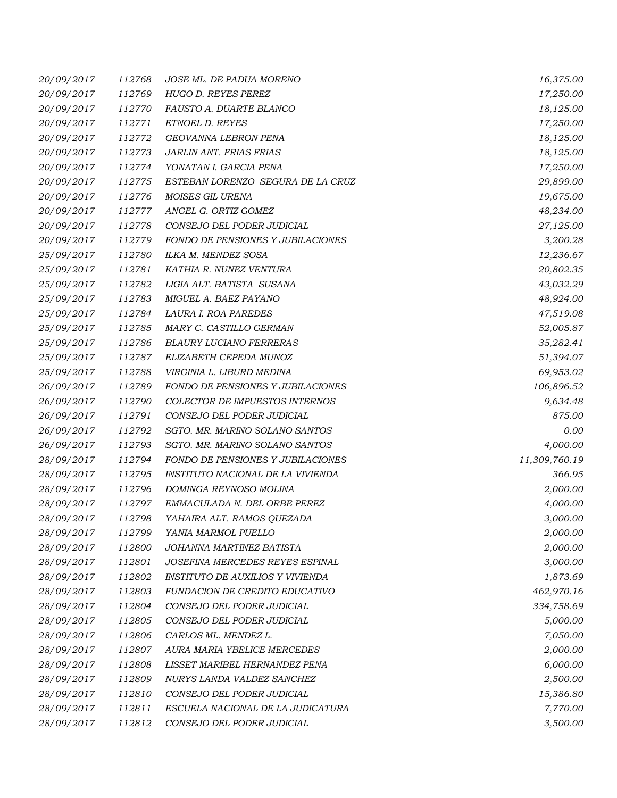| 20/09/2017 | 112768 | JOSE ML. DE PADUA MORENO          | 16,375.00     |
|------------|--------|-----------------------------------|---------------|
| 20/09/2017 | 112769 | HUGO D. REYES PEREZ               | 17,250.00     |
| 20/09/2017 | 112770 | <i>FAUSTO A. DUARTE BLANCO</i>    | 18,125.00     |
| 20/09/2017 | 112771 | ETNOEL D. REYES                   | 17,250.00     |
| 20/09/2017 | 112772 | GEOVANNA LEBRON PENA              | 18,125.00     |
| 20/09/2017 | 112773 | JARLIN ANT. FRIAS FRIAS           | 18,125.00     |
| 20/09/2017 | 112774 | YONATAN I. GARCIA PENA            | 17,250.00     |
| 20/09/2017 | 112775 | ESTEBAN LORENZO SEGURA DE LA CRUZ | 29,899.00     |
| 20/09/2017 | 112776 | MOISES GIL URENA                  | 19,675.00     |
| 20/09/2017 | 112777 | ANGEL G. ORTIZ GOMEZ              | 48,234.00     |
| 20/09/2017 | 112778 | CONSEJO DEL PODER JUDICIAL        | 27,125.00     |
| 20/09/2017 | 112779 | FONDO DE PENSIONES Y JUBILACIONES | 3,200.28      |
| 25/09/2017 | 112780 | ILKA M. MENDEZ SOSA               | 12,236.67     |
| 25/09/2017 | 112781 | KATHIA R. NUNEZ VENTURA           | 20,802.35     |
| 25/09/2017 | 112782 | LIGIA ALT. BATISTA SUSANA         | 43,032.29     |
| 25/09/2017 | 112783 | MIGUEL A. BAEZ PAYANO             | 48,924.00     |
| 25/09/2017 | 112784 | LAURA I. ROA PAREDES              | 47,519.08     |
| 25/09/2017 | 112785 | MARY C. CASTILLO GERMAN           | 52,005.87     |
| 25/09/2017 | 112786 | <b>BLAURY LUCIANO FERRERAS</b>    | 35,282.41     |
| 25/09/2017 | 112787 | ELIZABETH CEPEDA MUNOZ            | 51,394.07     |
| 25/09/2017 | 112788 | VIRGINIA L. LIBURD MEDINA         | 69,953.02     |
| 26/09/2017 | 112789 | FONDO DE PENSIONES Y JUBILACIONES | 106,896.52    |
| 26/09/2017 | 112790 | COLECTOR DE IMPUESTOS INTERNOS    | 9,634.48      |
| 26/09/2017 | 112791 | CONSEJO DEL PODER JUDICIAL        | 875.00        |
| 26/09/2017 | 112792 | SGTO. MR. MARINO SOLANO SANTOS    | 0.00          |
| 26/09/2017 | 112793 | SGTO. MR. MARINO SOLANO SANTOS    | 4,000.00      |
| 28/09/2017 | 112794 | FONDO DE PENSIONES Y JUBILACIONES | 11,309,760.19 |
| 28/09/2017 | 112795 | INSTITUTO NACIONAL DE LA VIVIENDA | 366.95        |
| 28/09/2017 | 112796 | DOMINGA REYNOSO MOLINA            | 2,000.00      |
| 28/09/2017 | 112797 | EMMACULADA N. DEL ORBE PEREZ      | 4,000.00      |
| 28/09/2017 | 112798 | YAHAIRA ALT. RAMOS QUEZADA        | 3,000.00      |
| 28/09/2017 | 112799 | YANIA MARMOL PUELLO               | 2,000.00      |
| 28/09/2017 | 112800 | JOHANNA MARTINEZ BATISTA          | 2,000.00      |
| 28/09/2017 | 112801 | JOSEFINA MERCEDES REYES ESPINAL   | 3,000.00      |
| 28/09/2017 | 112802 | INSTITUTO DE AUXILIOS Y VIVIENDA  | 1,873.69      |
| 28/09/2017 | 112803 | FUNDACION DE CREDITO EDUCATIVO    | 462,970.16    |
| 28/09/2017 | 112804 | CONSEJO DEL PODER JUDICIAL        | 334,758.69    |
| 28/09/2017 | 112805 | CONSEJO DEL PODER JUDICIAL        | 5,000.00      |
| 28/09/2017 | 112806 | CARLOS ML. MENDEZ L.              | 7,050.00      |
| 28/09/2017 | 112807 | AURA MARIA YBELICE MERCEDES       | 2,000.00      |
| 28/09/2017 | 112808 | LISSET MARIBEL HERNANDEZ PENA     | 6,000.00      |
| 28/09/2017 | 112809 | NURYS LANDA VALDEZ SANCHEZ        | 2,500.00      |
| 28/09/2017 | 112810 | CONSEJO DEL PODER JUDICIAL        | 15,386.80     |
| 28/09/2017 | 112811 | ESCUELA NACIONAL DE LA JUDICATURA | 7,770.00      |
| 28/09/2017 | 112812 | CONSEJO DEL PODER JUDICIAL        | 3,500.00      |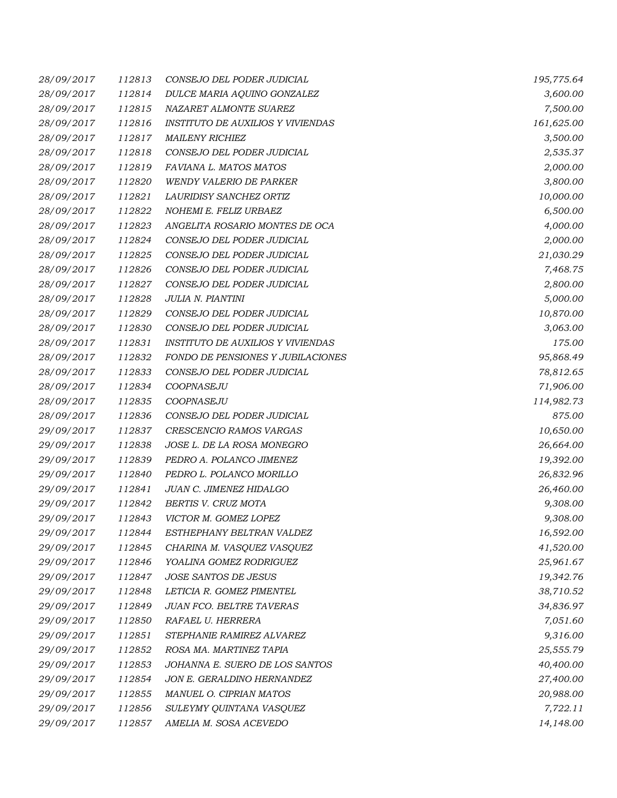| 28/09/2017 | 112813 | CONSEJO DEL PODER JUDICIAL               | 195,775.64 |
|------------|--------|------------------------------------------|------------|
| 28/09/2017 | 112814 | DULCE MARIA AQUINO GONZALEZ              | 3,600.00   |
| 28/09/2017 | 112815 | NAZARET ALMONTE SUAREZ                   | 7,500.00   |
| 28/09/2017 | 112816 | <b>INSTITUTO DE AUXILIOS Y VIVIENDAS</b> | 161,625.00 |
| 28/09/2017 | 112817 | <b>MAILENY RICHIEZ</b>                   | 3,500.00   |
| 28/09/2017 | 112818 | CONSEJO DEL PODER JUDICIAL               | 2,535.37   |
| 28/09/2017 | 112819 | FAVIANA L. MATOS MATOS                   | 2,000.00   |
| 28/09/2017 | 112820 | <b>WENDY VALERIO DE PARKER</b>           | 3,800.00   |
| 28/09/2017 | 112821 | LAURIDISY SANCHEZ ORTIZ                  | 10,000.00  |
| 28/09/2017 | 112822 | NOHEMI E. FELIZ URBAEZ                   | 6,500.00   |
| 28/09/2017 | 112823 | ANGELITA ROSARIO MONTES DE OCA           | 4,000.00   |
| 28/09/2017 | 112824 | CONSEJO DEL PODER JUDICIAL               | 2,000.00   |
| 28/09/2017 | 112825 | CONSEJO DEL PODER JUDICIAL               | 21,030.29  |
| 28/09/2017 | 112826 | CONSEJO DEL PODER JUDICIAL               | 7,468.75   |
| 28/09/2017 | 112827 | CONSEJO DEL PODER JUDICIAL               | 2,800.00   |
| 28/09/2017 | 112828 | JULIA N. PIANTINI                        | 5,000.00   |
| 28/09/2017 | 112829 | CONSEJO DEL PODER JUDICIAL               | 10,870.00  |
| 28/09/2017 | 112830 | CONSEJO DEL PODER JUDICIAL               | 3,063.00   |
| 28/09/2017 | 112831 | <b>INSTITUTO DE AUXILIOS Y VIVIENDAS</b> | 175.00     |
| 28/09/2017 | 112832 | FONDO DE PENSIONES Y JUBILACIONES        | 95,868.49  |
| 28/09/2017 | 112833 | CONSEJO DEL PODER JUDICIAL               | 78,812.65  |
| 28/09/2017 | 112834 | COOPNASEJU                               | 71,906.00  |
| 28/09/2017 | 112835 | COOPNASEJU                               | 114,982.73 |
| 28/09/2017 | 112836 | CONSEJO DEL PODER JUDICIAL               | 875.00     |
| 29/09/2017 | 112837 | CRESCENCIO RAMOS VARGAS                  | 10,650.00  |
| 29/09/2017 | 112838 | JOSE L. DE LA ROSA MONEGRO               | 26,664.00  |
| 29/09/2017 | 112839 | PEDRO A. POLANCO JIMENEZ                 | 19,392.00  |
| 29/09/2017 | 112840 | PEDRO L. POLANCO MORILLO                 | 26,832.96  |
| 29/09/2017 | 112841 | JUAN C. JIMENEZ HIDALGO                  | 26,460.00  |
| 29/09/2017 | 112842 | BERTIS V. CRUZ MOTA                      | 9,308.00   |
| 29/09/2017 | 112843 | VICTOR M. GOMEZ LOPEZ                    | 9,308.00   |
| 29/09/2017 | 112844 | ESTHEPHANY BELTRAN VALDEZ                | 16,592.00  |
| 29/09/2017 | 112845 | CHARINA M. VASQUEZ VASQUEZ               | 41,520.00  |
| 29/09/2017 | 112846 | YOALINA GOMEZ RODRIGUEZ                  | 25,961.67  |
| 29/09/2017 | 112847 | JOSE SANTOS DE JESUS                     | 19,342.76  |
| 29/09/2017 | 112848 | LETICIA R. GOMEZ PIMENTEL                | 38,710.52  |
| 29/09/2017 | 112849 | <b>JUAN FCO. BELTRE TAVERAS</b>          | 34,836.97  |
| 29/09/2017 | 112850 | RAFAEL U. HERRERA                        | 7,051.60   |
| 29/09/2017 | 112851 | STEPHANIE RAMIREZ ALVAREZ                | 9,316.00   |
| 29/09/2017 | 112852 | ROSA MA. MARTINEZ TAPIA                  | 25,555.79  |
| 29/09/2017 | 112853 | JOHANNA E. SUERO DE LOS SANTOS           | 40,400.00  |
| 29/09/2017 | 112854 | JON E. GERALDINO HERNANDEZ               | 27,400.00  |
| 29/09/2017 | 112855 | MANUEL O. CIPRIAN MATOS                  | 20,988.00  |
| 29/09/2017 | 112856 | SULEYMY QUINTANA VASQUEZ                 | 7,722.11   |
| 29/09/2017 | 112857 | AMELIA M. SOSA ACEVEDO                   | 14,148.00  |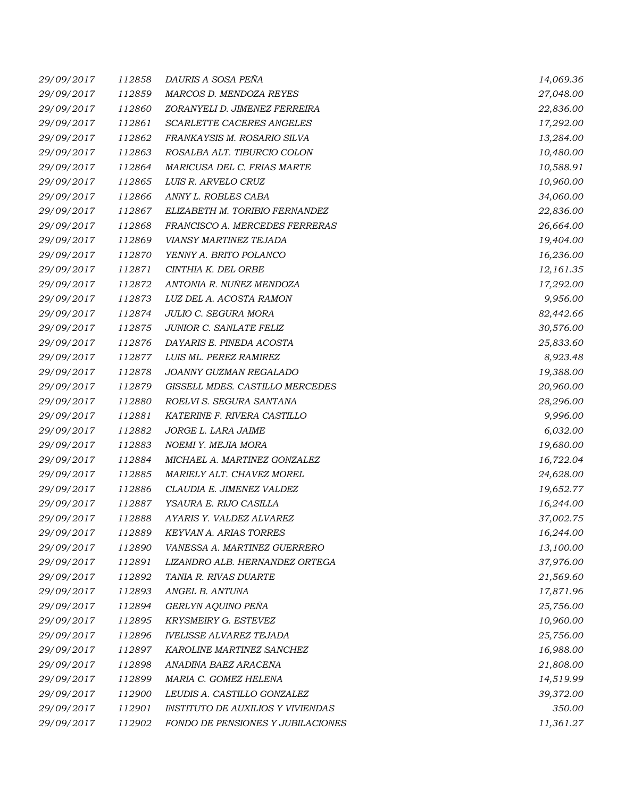| 29/09/2017 | 112858 | DAURIS A SOSA PEÑA                       | 14,069.36 |
|------------|--------|------------------------------------------|-----------|
| 29/09/2017 | 112859 | MARCOS D. MENDOZA REYES                  | 27,048.00 |
| 29/09/2017 | 112860 | ZORANYELI D. JIMENEZ FERREIRA            | 22,836.00 |
| 29/09/2017 | 112861 | SCARLETTE CACERES ANGELES                | 17,292.00 |
| 29/09/2017 | 112862 | FRANKAYSIS M. ROSARIO SILVA              | 13,284.00 |
| 29/09/2017 | 112863 | ROSALBA ALT. TIBURCIO COLON              | 10,480.00 |
| 29/09/2017 | 112864 | MARICUSA DEL C. FRIAS MARTE              | 10,588.91 |
| 29/09/2017 | 112865 | LUIS R. ARVELO CRUZ                      | 10,960.00 |
| 29/09/2017 | 112866 | ANNY L. ROBLES CABA                      | 34,060.00 |
| 29/09/2017 | 112867 | ELIZABETH M. TORIBIO FERNANDEZ           | 22,836.00 |
| 29/09/2017 | 112868 | FRANCISCO A. MERCEDES FERRERAS           | 26,664.00 |
| 29/09/2017 | 112869 | VIANSY MARTINEZ TEJADA                   | 19,404.00 |
| 29/09/2017 | 112870 | YENNY A. BRITO POLANCO                   | 16,236.00 |
| 29/09/2017 | 112871 | CINTHIA K. DEL ORBE                      | 12,161.35 |
| 29/09/2017 | 112872 | ANTONIA R. NUÑEZ MENDOZA                 | 17,292.00 |
| 29/09/2017 | 112873 | LUZ DEL A. ACOSTA RAMON                  | 9,956.00  |
| 29/09/2017 | 112874 | JULIO C. SEGURA MORA                     | 82,442.66 |
| 29/09/2017 | 112875 | JUNIOR C. SANLATE FELIZ                  | 30,576.00 |
| 29/09/2017 | 112876 | DAYARIS E. PINEDA ACOSTA                 | 25,833.60 |
| 29/09/2017 | 112877 | LUIS ML. PEREZ RAMIREZ                   | 8,923.48  |
| 29/09/2017 | 112878 | JOANNY GUZMAN REGALADO                   | 19,388.00 |
| 29/09/2017 | 112879 | GISSELL MDES. CASTILLO MERCEDES          | 20,960.00 |
| 29/09/2017 | 112880 | ROELVI S. SEGURA SANTANA                 | 28,296.00 |
| 29/09/2017 | 112881 | KATERINE F. RIVERA CASTILLO              | 9,996.00  |
| 29/09/2017 | 112882 | JORGE L. LARA JAIME                      | 6,032.00  |
| 29/09/2017 | 112883 | NOEMI Y. MEJIA MORA                      | 19,680.00 |
| 29/09/2017 | 112884 | MICHAEL A. MARTINEZ GONZALEZ             | 16,722.04 |
| 29/09/2017 | 112885 | MARIELY ALT. CHAVEZ MOREL                | 24,628.00 |
| 29/09/2017 | 112886 | CLAUDIA E. JIMENEZ VALDEZ                | 19,652.77 |
| 29/09/2017 | 112887 | YSAURA E. RIJO CASILLA                   | 16,244.00 |
| 29/09/2017 | 112888 | AYARIS Y. VALDEZ ALVAREZ                 | 37,002.75 |
| 29/09/2017 | 112889 | <b>KEYVAN A. ARIAS TORRES</b>            | 16,244.00 |
| 29/09/2017 | 112890 | VANESSA A. MARTINEZ GUERRERO             | 13,100.00 |
| 29/09/2017 | 112891 | LIZANDRO ALB. HERNANDEZ ORTEGA           | 37,976.00 |
| 29/09/2017 | 112892 | TANIA R. RIVAS DUARTE                    | 21,569.60 |
| 29/09/2017 | 112893 | ANGEL B. ANTUNA                          | 17,871.96 |
| 29/09/2017 | 112894 | GERLYN AQUINO PEÑA                       | 25,756.00 |
| 29/09/2017 | 112895 | KRYSMEIRY G. ESTEVEZ                     | 10,960.00 |
| 29/09/2017 | 112896 | <b>IVELISSE ALVAREZ TEJADA</b>           | 25,756.00 |
| 29/09/2017 | 112897 | KAROLINE MARTINEZ SANCHEZ                | 16,988.00 |
| 29/09/2017 | 112898 | ANADINA BAEZ ARACENA                     | 21,808.00 |
| 29/09/2017 | 112899 | MARIA C. GOMEZ HELENA                    | 14,519.99 |
| 29/09/2017 | 112900 | LEUDIS A. CASTILLO GONZALEZ              | 39,372.00 |
| 29/09/2017 | 112901 | <b>INSTITUTO DE AUXILIOS Y VIVIENDAS</b> | 350.00    |
| 29/09/2017 | 112902 | FONDO DE PENSIONES Y JUBILACIONES        | 11,361.27 |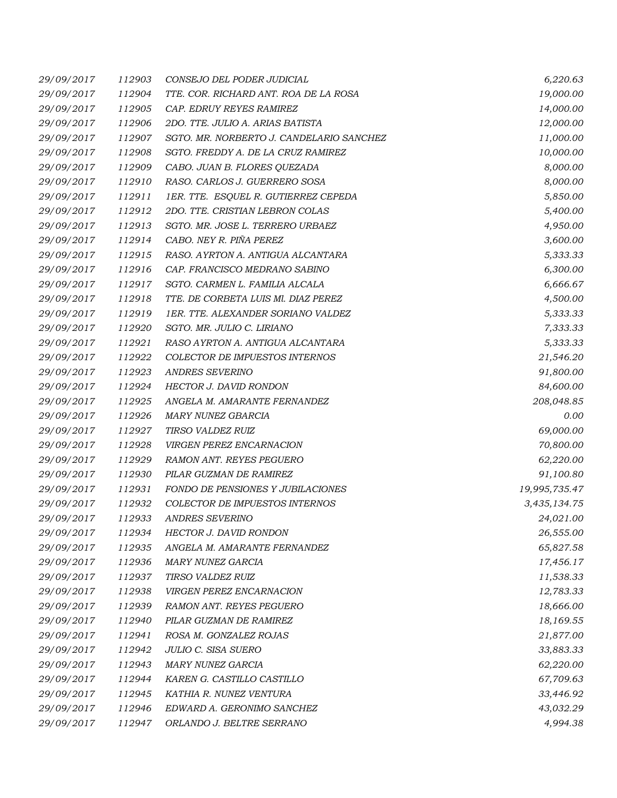| 29/09/2017 | 112903 | CONSEJO DEL PODER JUDICIAL               | 6,220.63      |
|------------|--------|------------------------------------------|---------------|
| 29/09/2017 | 112904 | TTE. COR. RICHARD ANT. ROA DE LA ROSA    | 19,000.00     |
| 29/09/2017 | 112905 | CAP. EDRUY REYES RAMIREZ                 | 14,000.00     |
| 29/09/2017 | 112906 | 2DO. TTE. JULIO A. ARIAS BATISTA         | 12,000.00     |
| 29/09/2017 | 112907 | SGTO. MR. NORBERTO J. CANDELARIO SANCHEZ | 11,000.00     |
| 29/09/2017 | 112908 | SGTO. FREDDY A. DE LA CRUZ RAMIREZ       | 10,000.00     |
| 29/09/2017 | 112909 | CABO. JUAN B. FLORES QUEZADA             | 8,000.00      |
| 29/09/2017 | 112910 | RASO. CARLOS J. GUERRERO SOSA            | 8,000.00      |
| 29/09/2017 | 112911 | 1ER. TTE. ESQUEL R. GUTIERREZ CEPEDA     | 5,850.00      |
| 29/09/2017 | 112912 | 2DO. TTE. CRISTIAN LEBRON COLAS          | 5,400.00      |
| 29/09/2017 | 112913 | SGTO. MR. JOSE L. TERRERO URBAEZ         | 4,950.00      |
| 29/09/2017 | 112914 | CABO. NEY R. PIÑA PEREZ                  | 3,600.00      |
| 29/09/2017 | 112915 | RASO. AYRTON A. ANTIGUA ALCANTARA        | 5,333.33      |
| 29/09/2017 | 112916 | CAP. FRANCISCO MEDRANO SABINO            | 6,300.00      |
| 29/09/2017 | 112917 | SGTO. CARMEN L. FAMILIA ALCALA           | 6,666.67      |
| 29/09/2017 | 112918 | TTE. DE CORBETA LUIS MI. DIAZ PEREZ      | 4,500.00      |
| 29/09/2017 | 112919 | 1ER. TTE. ALEXANDER SORIANO VALDEZ       | 5,333.33      |
| 29/09/2017 | 112920 | SGTO. MR. JULIO C. LIRIANO               | 7,333.33      |
| 29/09/2017 | 112921 | RASO AYRTON A. ANTIGUA ALCANTARA         | 5,333.33      |
| 29/09/2017 | 112922 | COLECTOR DE IMPUESTOS INTERNOS           | 21,546.20     |
| 29/09/2017 | 112923 | <b>ANDRES SEVERINO</b>                   | 91,800.00     |
| 29/09/2017 | 112924 | HECTOR J. DAVID RONDON                   | 84,600.00     |
| 29/09/2017 | 112925 | ANGELA M. AMARANTE FERNANDEZ             | 208,048.85    |
| 29/09/2017 | 112926 | MARY NUNEZ GBARCIA                       | 0.00          |
| 29/09/2017 | 112927 | TIRSO VALDEZ RUIZ                        | 69,000.00     |
| 29/09/2017 | 112928 | VIRGEN PEREZ ENCARNACION                 | 70,800.00     |
| 29/09/2017 | 112929 | <b>RAMON ANT. REYES PEGUERO</b>          | 62,220.00     |
| 29/09/2017 | 112930 | PILAR GUZMAN DE RAMIREZ                  | 91,100.80     |
| 29/09/2017 | 112931 | FONDO DE PENSIONES Y JUBILACIONES        | 19,995,735.47 |
| 29/09/2017 | 112932 | COLECTOR DE IMPUESTOS INTERNOS           | 3,435,134.75  |
| 29/09/2017 | 112933 | <b>ANDRES SEVERINO</b>                   | 24,021.00     |
| 29/09/2017 | 112934 | HECTOR J. DAVID RONDON                   | 26,555.00     |
| 29/09/2017 | 112935 | ANGELA M. AMARANTE FERNANDEZ             | 65,827.58     |
| 29/09/2017 | 112936 | <b>MARY NUNEZ GARCIA</b>                 | 17,456.17     |
| 29/09/2017 | 112937 | TIRSO VALDEZ RUIZ                        | 11,538.33     |
| 29/09/2017 | 112938 | VIRGEN PEREZ ENCARNACION                 | 12,783.33     |
| 29/09/2017 | 112939 | <b>RAMON ANT. REYES PEGUERO</b>          | 18,666.00     |
| 29/09/2017 | 112940 | PILAR GUZMAN DE RAMIREZ                  | 18,169.55     |
| 29/09/2017 | 112941 | ROSA M. GONZALEZ ROJAS                   | 21,877.00     |
| 29/09/2017 | 112942 | JULIO C. SISA SUERO                      | 33,883.33     |
| 29/09/2017 | 112943 | <b>MARY NUNEZ GARCIA</b>                 | 62,220.00     |
| 29/09/2017 | 112944 | KAREN G. CASTILLO CASTILLO               | 67,709.63     |
| 29/09/2017 | 112945 | KATHIA R. NUNEZ VENTURA                  | 33,446.92     |
| 29/09/2017 | 112946 | EDWARD A. GERONIMO SANCHEZ               | 43,032.29     |
| 29/09/2017 | 112947 | ORLANDO J. BELTRE SERRANO                | 4,994.38      |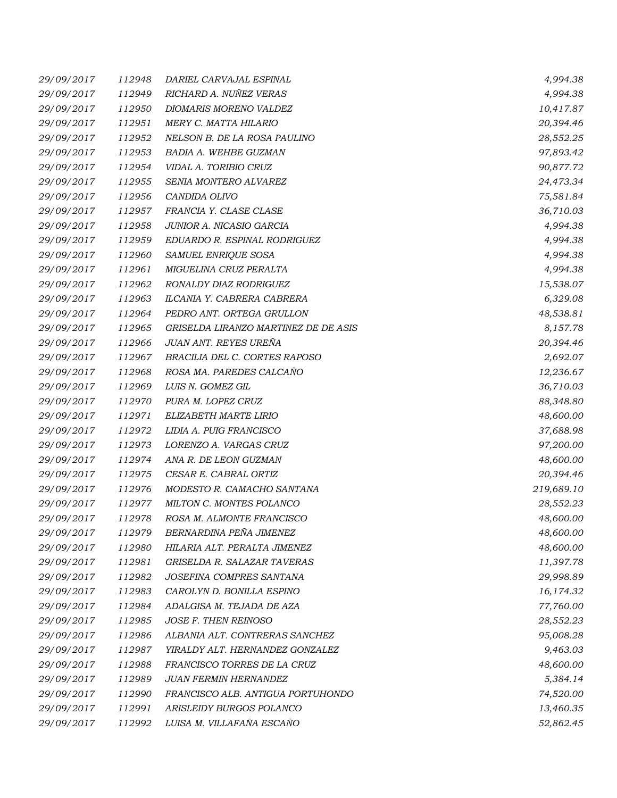| 29/09/2017 | 112948 | DARIEL CARVAJAL ESPINAL              | 4,994.38   |
|------------|--------|--------------------------------------|------------|
| 29/09/2017 | 112949 | RICHARD A. NUÑEZ VERAS               | 4,994.38   |
| 29/09/2017 | 112950 | DIOMARIS MORENO VALDEZ               | 10,417.87  |
| 29/09/2017 | 112951 | MERY C. MATTA HILARIO                | 20,394.46  |
| 29/09/2017 | 112952 | NELSON B. DE LA ROSA PAULINO         | 28,552.25  |
| 29/09/2017 | 112953 | BADIA A. WEHBE GUZMAN                | 97,893.42  |
| 29/09/2017 | 112954 | VIDAL A. TORIBIO CRUZ                | 90,877.72  |
| 29/09/2017 | 112955 | SENIA MONTERO ALVAREZ                | 24,473.34  |
| 29/09/2017 | 112956 | CANDIDA OLIVO                        | 75,581.84  |
| 29/09/2017 | 112957 | FRANCIA Y. CLASE CLASE               | 36,710.03  |
| 29/09/2017 | 112958 | JUNIOR A. NICASIO GARCIA             | 4,994.38   |
| 29/09/2017 | 112959 | EDUARDO R. ESPINAL RODRIGUEZ         | 4,994.38   |
| 29/09/2017 | 112960 | SAMUEL ENRIQUE SOSA                  | 4,994.38   |
| 29/09/2017 | 112961 | MIGUELINA CRUZ PERALTA               | 4,994.38   |
| 29/09/2017 | 112962 | RONALDY DIAZ RODRIGUEZ               | 15,538.07  |
| 29/09/2017 | 112963 | ILCANIA Y. CABRERA CABRERA           | 6,329.08   |
| 29/09/2017 | 112964 | PEDRO ANT. ORTEGA GRULLON            | 48,538.81  |
| 29/09/2017 | 112965 | GRISELDA LIRANZO MARTINEZ DE DE ASIS | 8,157.78   |
| 29/09/2017 | 112966 | JUAN ANT. REYES UREÑA                | 20,394.46  |
| 29/09/2017 | 112967 | BRACILIA DEL C. CORTES RAPOSO        | 2,692.07   |
| 29/09/2017 | 112968 | ROSA MA. PAREDES CALCAÑO             | 12,236.67  |
| 29/09/2017 | 112969 | LUIS N. GOMEZ GIL                    | 36,710.03  |
| 29/09/2017 | 112970 | PURA M. LOPEZ CRUZ                   | 88,348.80  |
| 29/09/2017 | 112971 | ELIZABETH MARTE LIRIO                | 48,600.00  |
| 29/09/2017 | 112972 | LIDIA A. PUIG FRANCISCO              | 37,688.98  |
| 29/09/2017 | 112973 | LORENZO A. VARGAS CRUZ               | 97,200.00  |
| 29/09/2017 | 112974 | ANA R. DE LEON GUZMAN                | 48,600.00  |
| 29/09/2017 | 112975 | CESAR E. CABRAL ORTIZ                | 20,394.46  |
| 29/09/2017 | 112976 | MODESTO R. CAMACHO SANTANA           | 219,689.10 |
| 29/09/2017 | 112977 | MILTON C. MONTES POLANCO             | 28,552.23  |
| 29/09/2017 | 112978 | ROSA M. ALMONTE FRANCISCO            | 48,600.00  |
| 29/09/2017 | 112979 | BERNARDINA PEÑA JIMENEZ              | 48,600.00  |
| 29/09/2017 | 112980 | HILARIA ALT. PERALTA JIMENEZ         | 48,600.00  |
| 29/09/2017 | 112981 | GRISELDA R. SALAZAR TAVERAS          | 11,397.78  |
| 29/09/2017 | 112982 | JOSEFINA COMPRES SANTANA             | 29,998.89  |
| 29/09/2017 | 112983 | CAROLYN D. BONILLA ESPINO            | 16,174.32  |
| 29/09/2017 | 112984 | ADALGISA M. TEJADA DE AZA            | 77,760.00  |
| 29/09/2017 | 112985 | JOSE F. THEN REINOSO                 | 28,552.23  |
| 29/09/2017 | 112986 | ALBANIA ALT. CONTRERAS SANCHEZ       | 95,008.28  |
| 29/09/2017 | 112987 | YIRALDY ALT. HERNANDEZ GONZALEZ      | 9,463.03   |
| 29/09/2017 | 112988 | FRANCISCO TORRES DE LA CRUZ          | 48,600.00  |
| 29/09/2017 | 112989 | <b>JUAN FERMIN HERNANDEZ</b>         | 5,384.14   |
| 29/09/2017 | 112990 | FRANCISCO ALB. ANTIGUA PORTUHONDO    | 74,520.00  |
| 29/09/2017 | 112991 | ARISLEIDY BURGOS POLANCO             | 13,460.35  |
| 29/09/2017 | 112992 | LUISA M. VILLAFAÑA ESCAÑO            | 52,862.45  |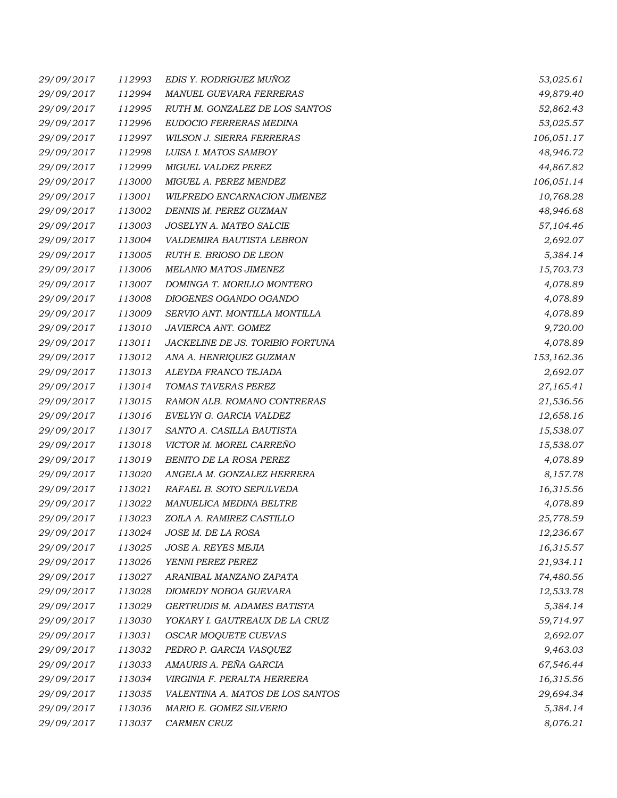| 29/09/2017 | 112993 | EDIS Y. RODRIGUEZ MUÑOZ          | 53,025.61  |
|------------|--------|----------------------------------|------------|
| 29/09/2017 | 112994 | MANUEL GUEVARA FERRERAS          | 49,879.40  |
| 29/09/2017 | 112995 | RUTH M. GONZALEZ DE LOS SANTOS   | 52,862.43  |
| 29/09/2017 | 112996 | EUDOCIO FERRERAS MEDINA          | 53,025.57  |
| 29/09/2017 | 112997 | WILSON J. SIERRA FERRERAS        | 106,051.17 |
| 29/09/2017 | 112998 | LUISA I. MATOS SAMBOY            | 48,946.72  |
| 29/09/2017 | 112999 | MIGUEL VALDEZ PEREZ              | 44,867.82  |
| 29/09/2017 | 113000 | MIGUEL A. PEREZ MENDEZ           | 106,051.14 |
| 29/09/2017 | 113001 | WILFREDO ENCARNACION JIMENEZ     | 10,768.28  |
| 29/09/2017 | 113002 | DENNIS M. PEREZ GUZMAN           | 48,946.68  |
| 29/09/2017 | 113003 | JOSELYN A. MATEO SALCIE          | 57,104.46  |
| 29/09/2017 | 113004 | VALDEMIRA BAUTISTA LEBRON        | 2,692.07   |
| 29/09/2017 | 113005 | RUTH E. BRIOSO DE LEON           | 5,384.14   |
| 29/09/2017 | 113006 | MELANIO MATOS JIMENEZ            | 15,703.73  |
| 29/09/2017 | 113007 | DOMINGA T. MORILLO MONTERO       | 4,078.89   |
| 29/09/2017 | 113008 | DIOGENES OGANDO OGANDO           | 4,078.89   |
| 29/09/2017 | 113009 | SERVIO ANT. MONTILLA MONTILLA    | 4,078.89   |
| 29/09/2017 | 113010 | JAVIERCA ANT. GOMEZ              | 9,720.00   |
| 29/09/2017 | 113011 | JACKELINE DE JS. TORIBIO FORTUNA | 4,078.89   |
| 29/09/2017 | 113012 | ANA A. HENRIQUEZ GUZMAN          | 153,162.36 |
| 29/09/2017 | 113013 | ALEYDA FRANCO TEJADA             | 2,692.07   |
| 29/09/2017 | 113014 | TOMAS TAVERAS PEREZ              | 27,165.41  |
| 29/09/2017 | 113015 | RAMON ALB. ROMANO CONTRERAS      | 21,536.56  |
| 29/09/2017 | 113016 | EVELYN G. GARCIA VALDEZ          | 12,658.16  |
| 29/09/2017 | 113017 | SANTO A. CASILLA BAUTISTA        | 15,538.07  |
| 29/09/2017 | 113018 | VICTOR M. MOREL CARREÑO          | 15,538.07  |
| 29/09/2017 | 113019 | BENITO DE LA ROSA PEREZ          | 4,078.89   |
| 29/09/2017 | 113020 | ANGELA M. GONZALEZ HERRERA       | 8,157.78   |
| 29/09/2017 | 113021 | RAFAEL B. SOTO SEPULVEDA         | 16,315.56  |
| 29/09/2017 | 113022 | MANUELICA MEDINA BELTRE          | 4,078.89   |
| 29/09/2017 | 113023 | ZOILA A. RAMIREZ CASTILLO        | 25,778.59  |
| 29/09/2017 | 113024 | JOSE M. DE LA ROSA               | 12,236.67  |
| 29/09/2017 | 113025 | JOSE A. REYES MEJIA              | 16,315.57  |
| 29/09/2017 | 113026 | YENNI PEREZ PEREZ                | 21,934.11  |
| 29/09/2017 | 113027 | ARANIBAL MANZANO ZAPATA          | 74,480.56  |
| 29/09/2017 | 113028 | DIOMEDY NOBOA GUEVARA            | 12,533.78  |
| 29/09/2017 | 113029 | GERTRUDIS M. ADAMES BATISTA      | 5,384.14   |
| 29/09/2017 | 113030 | YOKARY I. GAUTREAUX DE LA CRUZ   | 59,714.97  |
| 29/09/2017 | 113031 | OSCAR MOQUETE CUEVAS             | 2,692.07   |
| 29/09/2017 | 113032 | PEDRO P. GARCIA VASQUEZ          | 9,463.03   |
| 29/09/2017 | 113033 | AMAURIS A. PEÑA GARCIA           | 67,546.44  |
| 29/09/2017 | 113034 | VIRGINIA F. PERALTA HERRERA      | 16,315.56  |
| 29/09/2017 | 113035 | VALENTINA A. MATOS DE LOS SANTOS | 29,694.34  |
| 29/09/2017 | 113036 | MARIO E. GOMEZ SILVERIO          | 5,384.14   |
| 29/09/2017 | 113037 | CARMEN CRUZ                      | 8,076.21   |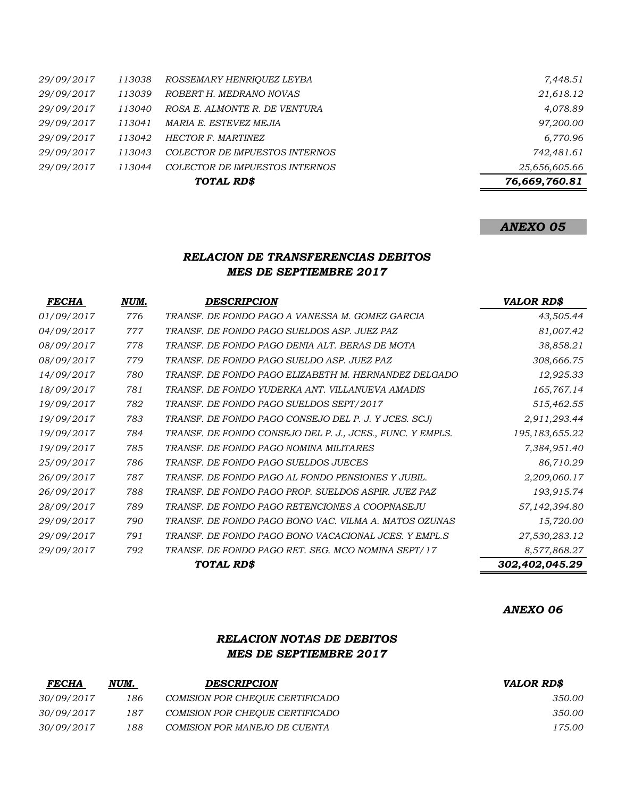| 25,656,605.66 |
|---------------|
|               |
| 742,481.61    |
| 6,770.96      |
| 97,200.00     |
| 4,078.89      |
| 21,618.12     |
| 7,448.51      |
|               |

## *ANEXO 05*

## *RELACION DE TRANSFERENCIAS DEBITOS MES DE SEPTIEMBRE 2017*

| <i>FECHA</i> | NUM. | <b>DESCRIPCION</b>                                        | <b>VALOR RD\$</b> |
|--------------|------|-----------------------------------------------------------|-------------------|
| 01/09/2017   | 776  | TRANSF. DE FONDO PAGO A VANESSA M. GOMEZ GARCIA           | 43,505.44         |
| 04/09/2017   | 777  | TRANSF. DE FONDO PAGO SUELDOS ASP. JUEZ PAZ               | 81,007.42         |
| 08/09/2017   | 778  | TRANSF. DE FONDO PAGO DENIA ALT. BERAS DE MOTA            | 38,858.21         |
| 08/09/2017   | 779  | TRANSF. DE FONDO PAGO SUELDO ASP. JUEZ PAZ                | 308,666.75        |
| 14/09/2017   | 780  | TRANSF. DE FONDO PAGO ELIZABETH M. HERNANDEZ DELGADO      | 12,925.33         |
| 18/09/2017   | 781  | TRANSF. DE FONDO YUDERKA ANT. VILLANUEVA AMADIS           | 165,767.14        |
| 19/09/2017   | 782  | TRANSF. DE FONDO PAGO SUELDOS SEPT/2017                   | 515,462.55        |
| 19/09/2017   | 783  | TRANSF. DE FONDO PAGO CONSEJO DEL P. J. Y JCES. SCJ)      | 2,911,293.44      |
| 19/09/2017   | 784  | TRANSF. DE FONDO CONSEJO DEL P. J., JCES., FUNC. Y EMPLS. | 195,183,655.22    |
| 19/09/2017   | 785  | TRANSF. DE FONDO PAGO NOMINA MILITARES                    | 7,384,951.40      |
| 25/09/2017   | 786  | TRANSF. DE FONDO PAGO SUELDOS JUECES                      | 86,710.29         |
| 26/09/2017   | 787  | TRANSF. DE FONDO PAGO AL FONDO PENSIONES Y JUBIL.         | 2,209,060.17      |
| 26/09/2017   | 788  | TRANSF. DE FONDO PAGO PROP. SUELDOS ASPIR. JUEZ PAZ       | 193,915.74        |
| 28/09/2017   | 789  | TRANSF. DE FONDO PAGO RETENCIONES A COOPNASEJU            | 57,142,394.80     |
| 29/09/2017   | 790  | TRANSF. DE FONDO PAGO BONO VAC. VILMA A. MATOS OZUNAS     | 15,720.00         |
| 29/09/2017   | 791  | TRANSF. DE FONDO PAGO BONO VACACIONAL JCES. Y EMPL.S      | 27,530,283.12     |
| 29/09/2017   | 792  | TRANSF. DE FONDO PAGO RET. SEG. MCO NOMINA SEPT/17        | 8,577,868.27      |
|              |      | TOTAL RD\$                                                | 302,402,045.29    |

#### *ANEXO 06*

## *RELACION NOTAS DE DEBITOS MES DE SEPTIEMBRE 2017*

| <b>FECHA</b> | NUM. | <b>DESCRIPCION</b>                     | <b>VALOR RDS</b> |
|--------------|------|----------------------------------------|------------------|
| 30/09/2017   | 186  | COMISION POR CHEOUE CERTIFICADO        | 350.00           |
| 30/09/2017   | 187  | <i>COMISION POR CHEOUE CERTIFICADO</i> | 350.00           |
| 30/09/2017   | 188  | COMISION POR MANEJO DE CUENTA          | 175.00           |